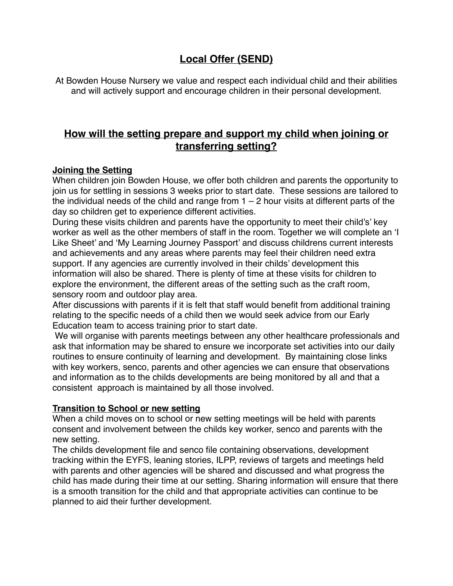# **Local Offer (SEND)**

At Bowden House Nursery we value and respect each individual child and their abilities and will actively support and encourage children in their personal development.

### **How will the setting prepare and support my child when joining or transferring setting?**

#### **Joining the Setting**

When children join Bowden House, we offer both children and parents the opportunity to join us for settling in sessions 3 weeks prior to start date. These sessions are tailored to the individual needs of the child and range from  $1 - 2$  hour visits at different parts of the day so children get to experience different activities.

During these visits children and parents have the opportunity to meet their child's' key worker as well as the other members of staff in the room. Together we will complete an 'I Like Sheet' and 'My Learning Journey Passport' and discuss childrens current interests and achievements and any areas where parents may feel their children need extra support. If any agencies are currently involved in their childs' development this information will also be shared. There is plenty of time at these visits for children to explore the environment, the different areas of the setting such as the craft room, sensory room and outdoor play area.

After discussions with parents if it is felt that staff would benefit from additional training relating to the specific needs of a child then we would seek advice from our Early Education team to access training prior to start date.

 We will organise with parents meetings between any other healthcare professionals and ask that information may be shared to ensure we incorporate set activities into our daily routines to ensure continuity of learning and development. By maintaining close links with key workers, senco, parents and other agencies we can ensure that observations and information as to the childs developments are being monitored by all and that a consistent approach is maintained by all those involved.

#### **Transition to School or new setting**

When a child moves on to school or new setting meetings will be held with parents consent and involvement between the childs key worker, senco and parents with the new setting.

The childs development file and senco file containing observations, development tracking within the EYFS, leaning stories, ILPP, reviews of targets and meetings held with parents and other agencies will be shared and discussed and what progress the child has made during their time at our setting. Sharing information will ensure that there is a smooth transition for the child and that appropriate activities can continue to be planned to aid their further development.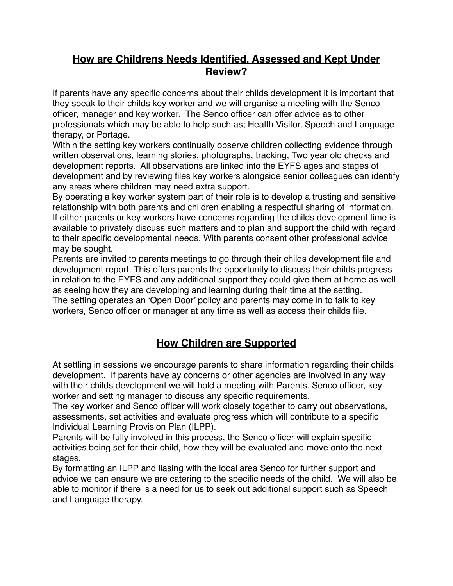## **How are Childrens Needs Identified, Assessed and Kept Under Review?**

If parents have any specific concerns about their childs development it is important that they speak to their childs key worker and we will organise a meeting with the Senco officer, manager and key worker. The Senco officer can offer advice as to other professionals which may be able to help such as; Health Visitor, Speech and Language therapy, or Portage.

Within the setting key workers continually observe children collecting evidence through written observations, learning stories, photographs, tracking, Two year old checks and development reports. All observations are linked into the EYFS ages and stages of development and by reviewing files key workers alongside senior colleagues can identify any areas where children may need extra support.

By operating a key worker system part of their role is to develop a trusting and sensitive relationship with both parents and children enabling a respectful sharing of information. If either parents or key workers have concerns regarding the childs development time is available to privately discuss such matters and to plan and support the child with regard to their specific developmental needs. With parents consent other professional advice may be sought.

Parents are invited to parents meetings to go through their childs development file and development report. This offers parents the opportunity to discuss their childs progress in relation to the EYFS and any additional support they could give them at home as well as seeing how they are developing and learning during their time at the setting. The setting operates an 'Open Door' policy and parents may come in to talk to key workers, Senco officer or manager at any time as well as access their childs file.

## **How Children are Supported**

At settling in sessions we encourage parents to share information regarding their childs development. If parents have ay concerns or other agencies are involved in any way with their childs development we will hold a meeting with Parents. Senco officer, key worker and setting manager to discuss any specific requirements.

The key worker and Senco officer will work closely together to carry out observations, assessments, set activities and evaluate progress which will contribute to a specific Individual Learning Provision Plan (ILPP).

Parents will be fully involved in this process, the Senco officer will explain specific activities being set for their child, how they will be evaluated and move onto the next stages.

By formatting an ILPP and liasing with the local area Senco for further support and advice we can ensure we are catering to the specific needs of the child. We will also be able to monitor if there is a need for us to seek out additional support such as Speech and Language therapy.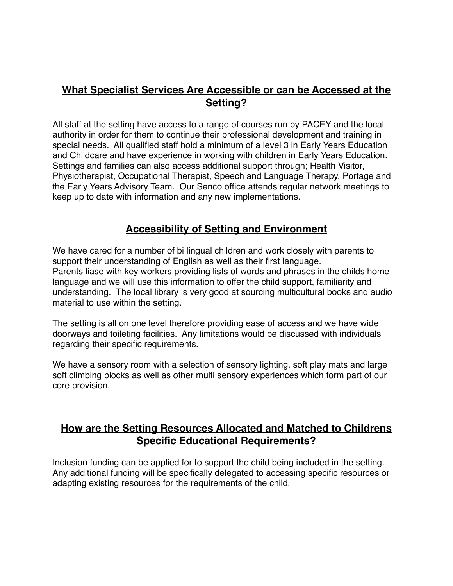### **What Specialist Services Are Accessible or can be Accessed at the Setting?**

All staff at the setting have access to a range of courses run by PACEY and the local authority in order for them to continue their professional development and training in special needs. All qualified staff hold a minimum of a level 3 in Early Years Education and Childcare and have experience in working with children in Early Years Education. Settings and families can also access additional support through; Health Visitor, Physiotherapist, Occupational Therapist, Speech and Language Therapy, Portage and the Early Years Advisory Team. Our Senco office attends regular network meetings to keep up to date with information and any new implementations.

## **Accessibility of Setting and Environment**

We have cared for a number of bi lingual children and work closely with parents to support their understanding of English as well as their first language. Parents liase with key workers providing lists of words and phrases in the childs home language and we will use this information to offer the child support, familiarity and understanding. The local library is very good at sourcing multicultural books and audio material to use within the setting.

The setting is all on one level therefore providing ease of access and we have wide doorways and toileting facilities. Any limitations would be discussed with individuals regarding their specific requirements.

We have a sensory room with a selection of sensory lighting, soft play mats and large soft climbing blocks as well as other multi sensory experiences which form part of our core provision.

## **How are the Setting Resources Allocated and Matched to Childrens Specific Educational Requirements?**

Inclusion funding can be applied for to support the child being included in the setting. Any additional funding will be specifically delegated to accessing specific resources or adapting existing resources for the requirements of the child.